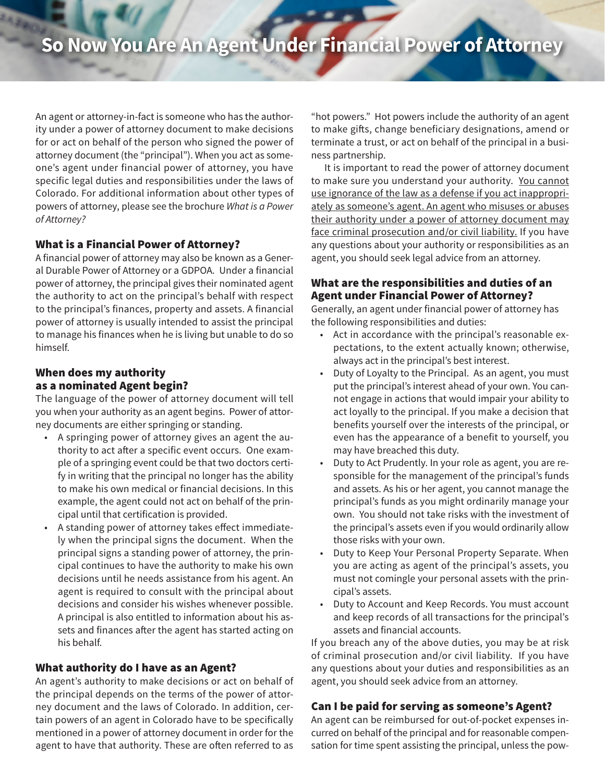# **So Now You Are An Agent Under Financial Power of Attorney**

An agent or attorney-in-fact is someone who has the authority under a power of attorney document to make decisions for or act on behalf of the person who signed the power of attorney document (the "principal"). When you act as someone's agent under financial power of attorney, you have specific legal duties and responsibilities under the laws of Colorado. For additional information about other types of powers of attorney, please see the brochure *What is a Power of Attorney?*

## What is a Financial Power of Attorney?

A financial power of attorney may also be known as a General Durable Power of Attorney or a GDPOA. Under a financial power of attorney, the principal gives their nominated agent the authority to act on the principal's behalf with respect to the principal's finances, property and assets. A financial power of attorney is usually intended to assist the principal to manage his finances when he is living but unable to do so himself.

#### When does my authority as a nominated Agent begin?

The language of the power of attorney document will tell you when your authority as an agent begins. Power of attorney documents are either springing or standing.

- A springing power of attorney gives an agent the authority to act after a specific event occurs. One example of a springing event could be that two doctors certify in writing that the principal no longer has the ability to make his own medical or financial decisions. In this example, the agent could not act on behalf of the principal until that certification is provided.
- A standing power of attorney takes effect immediately when the principal signs the document. When the principal signs a standing power of attorney, the principal continues to have the authority to make his own decisions until he needs assistance from his agent. An agent is required to consult with the principal about decisions and consider his wishes whenever possible. A principal is also entitled to information about his assets and finances after the agent has started acting on his behalf.

## What authority do I have as an Agent?

An agent's authority to make decisions or act on behalf of the principal depends on the terms of the power of attorney document and the laws of Colorado. In addition, certain powers of an agent in Colorado have to be specifically mentioned in a power of attorney document in order for the agent to have that authority. These are often referred to as

"hot powers." Hot powers include the authority of an agent to make gifts, change beneficiary designations, amend or terminate a trust, or act on behalf of the principal in a business partnership.

It is important to read the power of attorney document to make sure you understand your authority. You cannot use ignorance of the law as a defense if you act inappropriately as someone's agent. An agent who misuses or abuses their authority under a power of attorney document may face criminal prosecution and/or civil liability. If you have any questions about your authority or responsibilities as an agent, you should seek legal advice from an attorney.

#### What are the responsibilities and duties of an Agent under Financial Power of Attorney?

Generally, an agent under financial power of attorney has the following responsibilities and duties:

- Act in accordance with the principal's reasonable expectations, to the extent actually known; otherwise, always act in the principal's best interest.
- Duty of Loyalty to the Principal. As an agent, you must put the principal's interest ahead of your own. You cannot engage in actions that would impair your ability to act loyally to the principal. If you make a decision that benefits yourself over the interests of the principal, or even has the appearance of a benefit to yourself, you may have breached this duty.
- Duty to Act Prudently. In your role as agent, you are responsible for the management of the principal's funds and assets. As his or her agent, you cannot manage the principal's funds as you might ordinarily manage your own. You should not take risks with the investment of the principal's assets even if you would ordinarily allow those risks with your own.
- Duty to Keep Your Personal Property Separate. When you are acting as agent of the principal's assets, you must not comingle your personal assets with the principal's assets.
- Duty to Account and Keep Records. You must account and keep records of all transactions for the principal's assets and financial accounts.

If you breach any of the above duties, you may be at risk of criminal prosecution and/or civil liability. If you have any questions about your duties and responsibilities as an agent, you should seek advice from an attorney.

## Can I be paid for serving as someone's Agent?

An agent can be reimbursed for out-of-pocket expenses incurred on behalf of the principal and for reasonable compensation for time spent assisting the principal, unless the pow